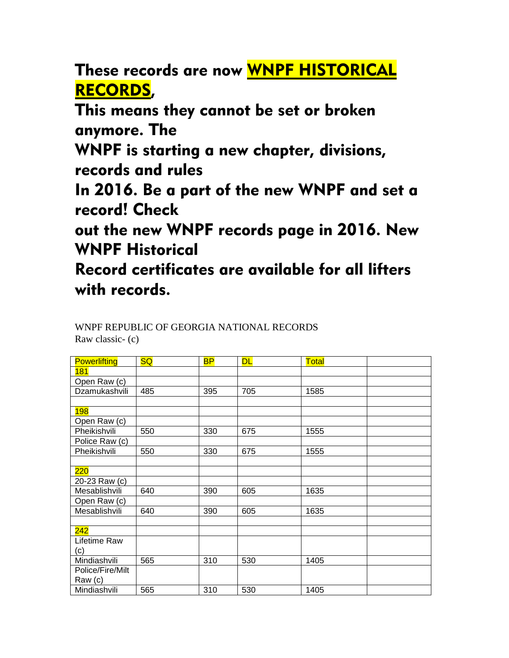These records are now WNPF HISTORICAL RECORDS,

This means they cannot be set or broken anymore. The

WNPF is starting a new chapter, divisions, records and rules

In 2016. Be a part of the new WNPF and set a record! Check

out the new WNPF records page in 2016. New WNPF Historical

Record certificates are available for all lifters with records.

## WNPF REPUBLIC OF GEORGIA NATIONAL RECORDS Raw classic- (c)

| <b>Powerlifting</b> | <b>SQ</b> | <b>BP</b> | <b>DL</b> | Total |
|---------------------|-----------|-----------|-----------|-------|
| 181                 |           |           |           |       |
| Open Raw (c)        |           |           |           |       |
| Dzamukashvili       | 485       | 395       | 705       | 1585  |
|                     |           |           |           |       |
| <b>198</b>          |           |           |           |       |
| Open Raw (c)        |           |           |           |       |
| Pheikishvili        | 550       | 330       | 675       | 1555  |
| Police Raw (c)      |           |           |           |       |
| Pheikishvili        | 550       | 330       | 675       | 1555  |
|                     |           |           |           |       |
| 220                 |           |           |           |       |
| 20-23 Raw (c)       |           |           |           |       |
| Mesablishvili       | 640       | 390       | 605       | 1635  |
| Open Raw (c)        |           |           |           |       |
| Mesablishvili       | 640       | 390       | 605       | 1635  |
|                     |           |           |           |       |
| 242                 |           |           |           |       |
| Lifetime Raw        |           |           |           |       |
| (c)                 |           |           |           |       |
| Mindiashvili        | 565       | 310       | 530       | 1405  |
| Police/Fire/Milt    |           |           |           |       |
| Raw (c)             |           |           |           |       |
| Mindiashvili        | 565       | 310       | 530       | 1405  |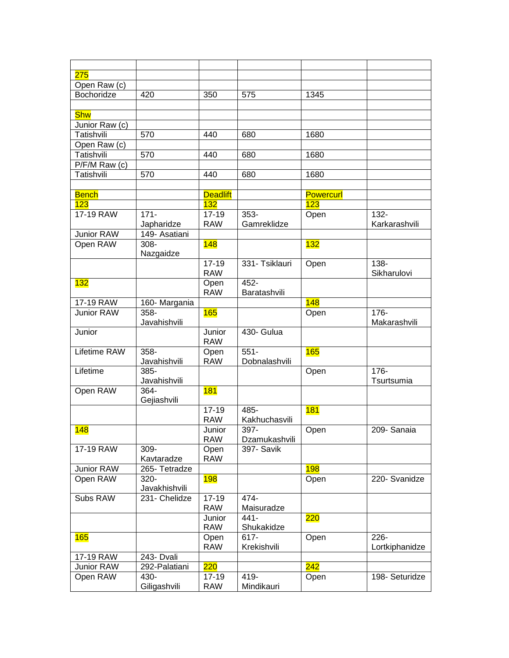| 275             |               |                 |                |                  |                |
|-----------------|---------------|-----------------|----------------|------------------|----------------|
| Open Raw (c)    |               |                 |                |                  |                |
| Bochoridze      | 420           | 350             | 575            | 1345             |                |
|                 |               |                 |                |                  |                |
| <b>Shw</b>      |               |                 |                |                  |                |
| Junior Raw (c)  |               |                 |                |                  |                |
| Tatishvili      | 570           | 440             | 680            | 1680             |                |
| Open Raw (c)    |               |                 |                |                  |                |
| Tatishvili      | 570           | 440             | 680            | 1680             |                |
| $P/F/M$ Raw (c) |               |                 |                |                  |                |
| Tatishvili      | 570           | 440             | 680            | 1680             |                |
|                 |               |                 |                |                  |                |
| <b>Bench</b>    |               | <b>Deadlift</b> |                | <b>Powercurl</b> |                |
| 123             |               | 132             |                | 123              |                |
| 17-19 RAW       | $171 -$       | $17 - 19$       | 353-           | Open             | 132-           |
|                 | Japharidze    | <b>RAW</b>      | Gamreklidze    |                  | Karkarashvili  |
| Junior RAW      | 149- Asatiani |                 |                |                  |                |
| Open RAW        | 308-          | 148             |                | 132              |                |
|                 | Nazgaidze     |                 |                |                  |                |
|                 |               | $17 - 19$       | 331- Tsiklauri | Open             | $138 -$        |
|                 |               | <b>RAW</b>      |                |                  | Sikharulovi    |
| 132             |               | Open            | 452-           |                  |                |
|                 |               | <b>RAW</b>      | Baratashvili   |                  |                |
| 17-19 RAW       | 160- Margania |                 |                | 148              |                |
| Junior RAW      | 358-          | 165             |                | Open             | $176 -$        |
|                 | Javahishvili  |                 |                |                  | Makarashvili   |
| Junior          |               | Junior          | 430- Gulua     |                  |                |
|                 |               | <b>RAW</b>      |                |                  |                |
| Lifetime RAW    | $358 -$       | Open            | $551 -$        | 165              |                |
|                 | Javahishvili  | <b>RAW</b>      | Dobnalashvili  |                  |                |
| Lifetime        | 385-          |                 |                | Open             | $176 -$        |
|                 | Javahishvili  |                 |                |                  | Tsurtsumia     |
| Open RAW        | 364-          | <b>181</b>      |                |                  |                |
|                 | Gejiashvili   |                 |                |                  |                |
|                 |               | $17 - 19$       | 485-           | 181              |                |
|                 |               | <b>RAW</b>      | Kakhuchasvili  |                  |                |
| 148             |               | Junior          | 397-           | Open             | 209- Sanaia    |
|                 |               | <b>RAW</b>      | Dzamukashvili  |                  |                |
| 17-19 RAW       | 309-          | Open            | 397- Savik     |                  |                |
|                 | Kavtaradze    | <b>RAW</b>      |                |                  |                |
| Junior RAW      | 265- Tetradze |                 |                | <b>198</b>       |                |
| Open RAW        | 320-          | 198             |                | Open             | 220- Svanidze  |
|                 | Javakhishvili |                 |                |                  |                |
| Subs RAW        | 231- Chelidze | $17 - 19$       | 474-           |                  |                |
|                 |               | <b>RAW</b>      | Maisuradze     |                  |                |
|                 |               | Junior          | 441-           | 220              |                |
|                 |               | <b>RAW</b>      | Shukakidze     |                  |                |
| 165             |               | Open            | 617-           | Open             | $226 -$        |
|                 |               | <b>RAW</b>      | Krekishvili    |                  | Lortkiphanidze |
| 17-19 RAW       | 243- Dvali    |                 |                | 242              |                |
| Junior RAW      | 292-Palatiani | 220             |                |                  |                |
| Open RAW        | 430-          | $17 - 19$       | 419-           | Open             | 198- Seturidze |
|                 | Giligashvili  | <b>RAW</b>      | Mindikauri     |                  |                |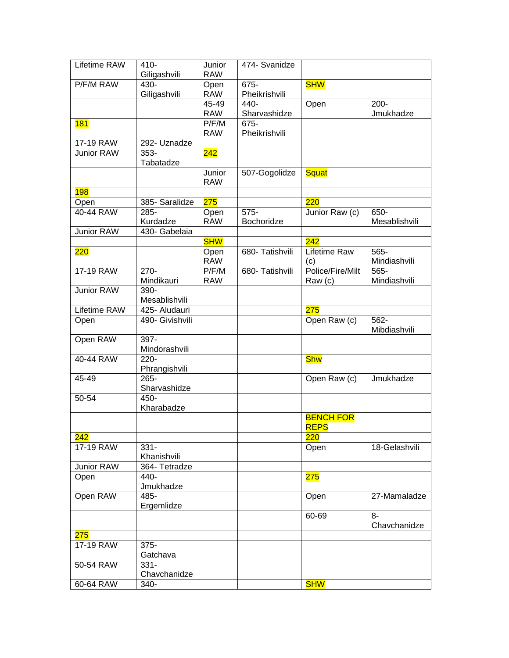| Lifetime RAW      | $410 -$                  | Junior               | 474- Svanidze         |                                 |                      |
|-------------------|--------------------------|----------------------|-----------------------|---------------------------------|----------------------|
|                   | Giligashvili             | <b>RAW</b>           |                       |                                 |                      |
| P/F/M RAW         | 430-<br>Giligashvili     | Open<br><b>RAW</b>   | 675-<br>Pheikrishvili | <b>SHW</b>                      |                      |
|                   |                          | 45-49                | 440-                  | Open                            | $200 -$              |
|                   |                          | <b>RAW</b>           | Sharvashidze          |                                 | Jmukhadze            |
| <b>181</b>        |                          | P/F/M<br><b>RAW</b>  | 675-<br>Pheikrishvili |                                 |                      |
| 17-19 RAW         | 292- Uznadze             |                      |                       |                                 |                      |
| Junior RAW        | $353 -$<br>Tabatadze     | 242                  |                       |                                 |                      |
|                   |                          | Junior<br><b>RAW</b> | 507-Gogolidze         | <b>Squat</b>                    |                      |
| <b>198</b>        |                          |                      |                       |                                 |                      |
| Open              | 385- Saralidze           | 275                  |                       | 220                             |                      |
| 40-44 RAW         | 285-                     | Open                 | $575 -$               | Junior Raw (c)                  | 650-                 |
|                   | Kurdadze                 | <b>RAW</b>           | Bochoridze            |                                 | Mesablishvili        |
| Junior RAW        | 430- Gabelaia            |                      |                       |                                 |                      |
|                   |                          | <b>SHW</b>           |                       | 242                             |                      |
| 220               |                          | Open<br><b>RAW</b>   | 680- Tatishvili       | Lifetime Raw<br>(c)             | 565-<br>Mindiashvili |
| 17-19 RAW         | $270 -$                  | P/F/M                | 680- Tatishvili       | Police/Fire/Milt                | 565-                 |
|                   | Mindikauri               | <b>RAW</b>           |                       | Raw (c)                         | Mindiashvili         |
| <b>Junior RAW</b> | 390-<br>Mesablishvili    |                      |                       |                                 |                      |
| Lifetime RAW      | 425- Aludauri            |                      |                       | <b>275</b>                      |                      |
| Open              | 490- Givishvili          |                      |                       | Open Raw (c)                    | 562-<br>Mibdiashvili |
| Open RAW          | 397-                     |                      |                       |                                 |                      |
|                   | Mindorashvili            |                      |                       |                                 |                      |
| 40-44 RAW         | $220 -$<br>Phrangishvili |                      |                       | <b>Shw</b>                      |                      |
| 45-49             | $265 -$<br>Sharvashidze  |                      |                       | Open Raw (c)                    | Jmukhadze            |
| 50-54             | 450-<br>Kharabadze       |                      |                       |                                 |                      |
|                   |                          |                      |                       | <b>BENCH FOR</b><br><b>REPS</b> |                      |
| 242               |                          |                      |                       | 220                             |                      |
| 17-19 RAW         | $331 -$<br>Khanishvili   |                      |                       | Open                            | 18-Gelashvili        |
| Junior RAW        | 364- Tetradze            |                      |                       |                                 |                      |
| Open              | 440-<br>Jmukhadze        |                      |                       | <b>275</b>                      |                      |
| Open RAW          | 485-                     |                      |                       | Open                            | 27-Mamaladze         |
|                   | Ergemlidze               |                      |                       |                                 |                      |
|                   |                          |                      |                       | 60-69                           | $8-$<br>Chavchanidze |
| 275               |                          |                      |                       |                                 |                      |
| 17-19 RAW         | $375 -$<br>Gatchava      |                      |                       |                                 |                      |
| 50-54 RAW         | $331 -$<br>Chavchanidze  |                      |                       |                                 |                      |
| 60-64 RAW         | 340-                     |                      |                       | <b>SHW</b>                      |                      |